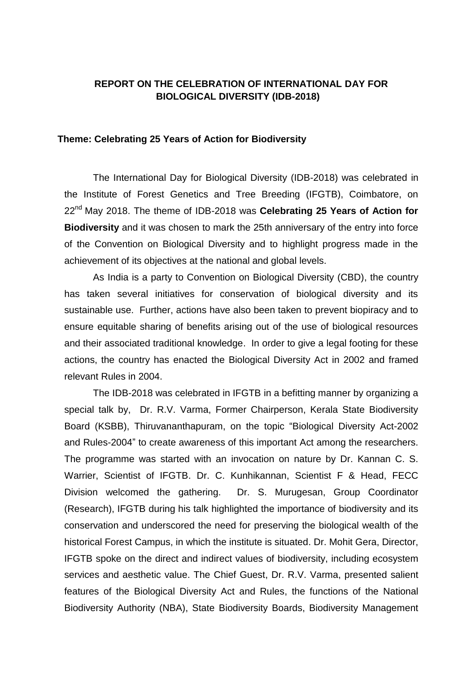## **REPORT ON THE CELEBRATION OF INTERNATIONAL DAY FOR BIOLOGICAL DIVERSITY (IDB-2018)**

## **Theme: Celebrating 25 Years of Action for Biodiversity**

The International Day for Biological Diversity (IDB-2018) was celebrated in the Institute of Forest Genetics and Tree Breeding (IFGTB), Coimbatore, on 22nd May 2018. The theme of IDB-2018 was **Celebrating 25 Years of Action for Biodiversity** and it was chosen to mark the 25th anniversary of the entry into force of the Convention on Biological Diversity and to highlight progress made in the achievement of its objectives at the national and global levels.

As India is a party to Convention on Biological Diversity (CBD), the country has taken several initiatives for conservation of biological diversity and its sustainable use. Further, actions have also been taken to prevent biopiracy and to ensure equitable sharing of benefits arising out of the use of biological resources and their associated traditional knowledge. In order to give a legal footing for these actions, the country has enacted the Biological Diversity Act in 2002 and framed relevant Rules in 2004.

The IDB-2018 was celebrated in IFGTB in a befitting manner by organizing a special talk by, Dr. R.V. Varma, Former Chairperson, Kerala State Biodiversity Board (KSBB), Thiruvananthapuram, on the topic "Biological Diversity Act-2002 and Rules-2004" to create awareness of this important Act among the researchers. The programme was started with an invocation on nature by Dr. Kannan C. S. Warrier, Scientist of IFGTB. Dr. C. Kunhikannan, Scientist F & Head, FECC Division welcomed the gathering. Dr. S. Murugesan, Group Coordinator (Research), IFGTB during his talk highlighted the importance of biodiversity and its conservation and underscored the need for preserving the biological wealth of the historical Forest Campus, in which the institute is situated. Dr. Mohit Gera, Director, IFGTB spoke on the direct and indirect values of biodiversity, including ecosystem services and aesthetic value. The Chief Guest, Dr. R.V. Varma, presented salient features of the Biological Diversity Act and Rules, the functions of the National Biodiversity Authority (NBA), State Biodiversity Boards, Biodiversity Management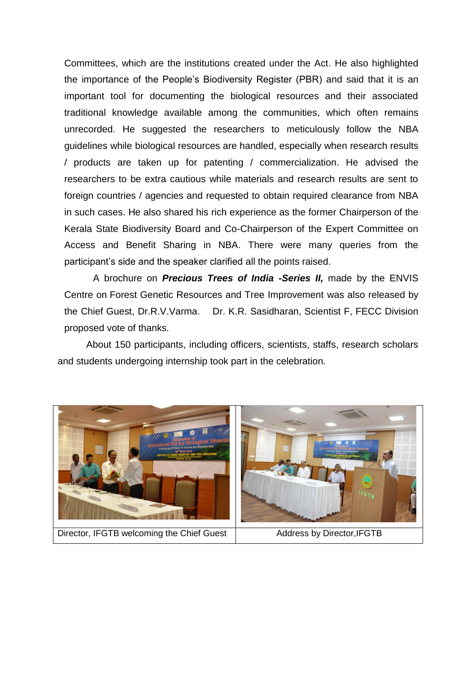Committees, which are the institutions created under the Act. He also highlighted the importance of the People's Biodiversity Register (PBR) and said that it is an important tool for documenting the biological resources and their associated traditional knowledge available among the communities, which often remains unrecorded. He suggested the researchers to meticulously follow the NBA guidelines while biological resources are handled, especially when research results / products are taken up for patenting / commercialization. He advised the researchers to be extra cautious while materials and research results are sent to foreign countries / agencies and requested to obtain required clearance from NBA in such cases. He also shared his rich experience as the former Chairperson of the Kerala State Biodiversity Board and Co-Chairperson of the Expert Committee on Access and Benefit Sharing in NBA. There were many queries from the participant's side and the speaker clarified all the points raised.

A brochure on *Precious Trees of India -Series II,* made by the ENVIS Centre on Forest Genetic Resources and Tree Improvement was also released by the Chief Guest, Dr.R.V.Varma. Dr. K.R. Sasidharan, Scientist F, FECC Division proposed vote of thanks.

About 150 participants, including officers, scientists, staffs, research scholars and students undergoing internship took part in the celebration.